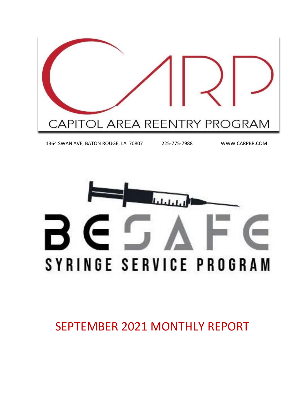

1364 SWAN AVE, BATON ROUGE, LA 70807 225-775-7988 WWW.CARPBR.COM



SEPTEMBER 2021 MONTHLY REPORT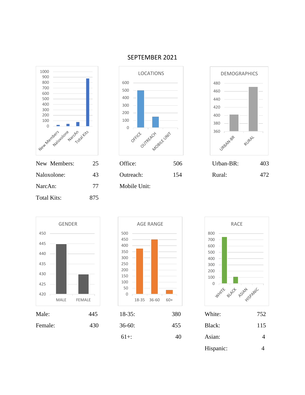

NarcAn: 77 Mobile Unit:







Total Kits: 875





| Male:   | 445 | $18-35:$ | 380 | White:    | 752            |
|---------|-----|----------|-----|-----------|----------------|
| Female: | 430 | $36-60:$ | 455 | Black:    | 115            |
|         |     | $61+$ :  | 40  | Asian:    | $\overline{4}$ |
|         |     |          |     | Hispanic: | 4              |

#### SEPTEMBER 2021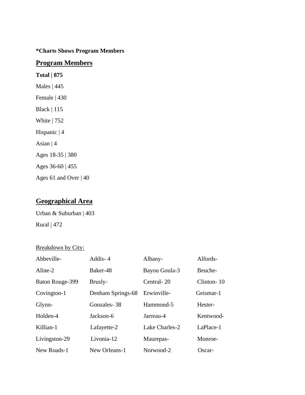#### **\*Charts Shows Program Members**

#### **Program Members**

**Total | 875** Males | 445 Female | 430 Black | 115 White | 752 Hispanic | 4 Asian | 4 Ages 18-35 | 380 Ages 36-60 | 455 Ages 61 and Over | 40

#### **Geographical Area**

Urban & Suburban | 403

Rural | 472

#### Breakdown by City:

| Abbeville-      | Addis-4           | Albany-        | Alfords-   |
|-----------------|-------------------|----------------|------------|
| Aline-2         | Baker-48          | Bayou Goula-3  | Beuche-    |
| Baton Rouge-399 | Brusly-           | Central-20     | Clinton-10 |
| Covington-1     | Denham Springs-68 | Erwinville-    | Geismar-1  |
| Glynn-          | Gonzales-38       | Hammond-5      | Hester-    |
| Holden-4        | Jackson-6         | Jarreau-4      | Kentwood-  |
| Killian-1       | Lafayette-2       | Lake Charles-2 | LaPlace-1  |
| Livingston-29   | Livonia-12        | Maurepas-      | Monroe-    |
| New Roads-1     | New Orleans-1     | Norwood-2      | Oscar-     |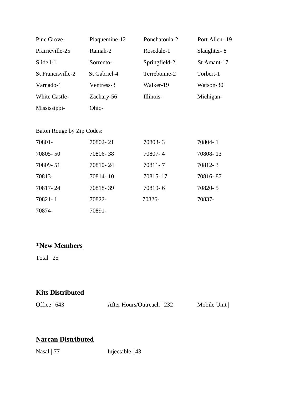| Pine Grove-               | Plaquemine-12 | Ponchatoula-2 | Port Allen-19 |
|---------------------------|---------------|---------------|---------------|
| Prairieville-25           | Ramah-2       | Rosedale-1    | Slaughter-8   |
| Slidell-1                 | Sorrento-     | Springfield-2 | St Amant-17   |
| St Francisville-2         | St Gabriel-4  | Terrebonne-2  | Torbert-1     |
| Varnado-1                 | Ventress-3    | Walker-19     | Watson-30     |
| <b>White Castle-</b>      | Zachary-56    | Illinois-     | Michigan-     |
| Mississippi-              | Ohio-         |               |               |
|                           |               |               |               |
| Baton Rouge by Zip Codes: |               |               |               |
| 70801-                    | 70802-21      | 70803-3       | 70804-1       |
| 70805-50                  | 70806-38      | 70807-4       | 70808-13      |
| 70809-51                  | 70810-24      | 70811-7       | 70812-3       |
| 70813-                    | 70814-10      | 70815-17      | 70816-87      |
| 70817-24                  | 70818-39      | 70819-6       | 70820-5       |
| 70821-1                   | 70822-        | 70826-        | 70837-        |

70874- 70891-

# **\*New Members**

Total |25

### **Kits Distributed**

Office | 643 After Hours/Outreach | 232 Mobile Unit |

#### **Narcan Distributed**

Nasal | 77 Injectable | 43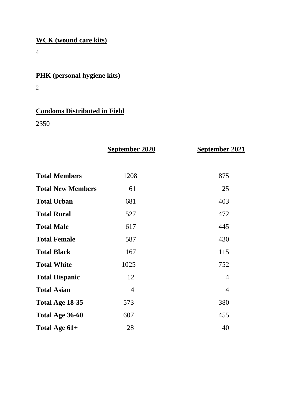## **WCK (wound care kits)**

4

## **PHK (personal hygiene kits)**

2

# **Condoms Distributed in Field**

2350

|                          | September 2020 | <b>September 2021</b> |
|--------------------------|----------------|-----------------------|
|                          |                |                       |
| <b>Total Members</b>     | 1208           | 875                   |
| <b>Total New Members</b> | 61             | 25                    |
| <b>Total Urban</b>       | 681            | 403                   |
| <b>Total Rural</b>       | 527            | 472                   |
| <b>Total Male</b>        | 617            | 445                   |
| <b>Total Female</b>      | 587            | 430                   |
| <b>Total Black</b>       | 167            | 115                   |
| <b>Total White</b>       | 1025           | 752                   |
| <b>Total Hispanic</b>    | 12             | $\overline{4}$        |
| <b>Total Asian</b>       | $\overline{4}$ | $\overline{4}$        |
| Total Age 18-35          | 573            | 380                   |
| Total Age 36-60          | 607            | 455                   |
| Total Age 61+            | 28             | 40                    |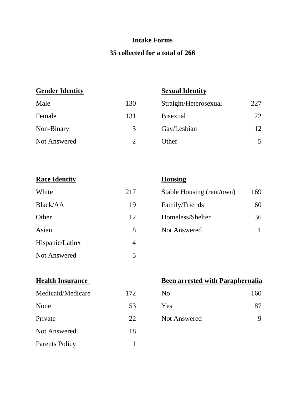### **Intake Forms**

#### **35 collected for a total of 266**

### **Gender Identity**

| <b>Sexual Identity</b> |
|------------------------|
|------------------------|

| Male         | 130 | Straight/Heterosexual | 227 |
|--------------|-----|-----------------------|-----|
| Female       | 131 | <b>Bisexual</b>       | 22  |
| Non-Binary   | 3   | Gay/Lesbian           | 12  |
| Not Answered |     | Other                 | 5   |

| <b>Race Identity</b> |                | <b>Housing</b> |
|----------------------|----------------|----------------|
| White                | 217            | Stable Ho      |
| Black/AA             | 19             | Family/F       |
| Other                | 12             | Homeless       |
| Asian                | 8              | Not Ansy       |
| Hispanic/Latinx      | $\overline{4}$ |                |
| Not Answered         | 5              |                |

| White    | 217 | Stable Housing (rent/own) | 169 |
|----------|-----|---------------------------|-----|
| Black/AA | 19  | Family/Friends            | 60  |
| Other    | 12  | Homeless/Shelter          | 36  |
| Asian    | 8   | Not Answered              |     |
|          |     |                           |     |

| Medicaid/Medicare |  |
|-------------------|--|
|                   |  |

| None                  | 53 | Yes                 |   |
|-----------------------|----|---------------------|---|
| Private               | 22 | <b>Not Answered</b> | 9 |
| <b>Not Answered</b>   | 18 |                     |   |
| <b>Parents Policy</b> |    |                     |   |

### **Health Insurance Been arrested with Paraphernalia**

| Medicaid/Medicare | 172 | No. | 160 |
|-------------------|-----|-----|-----|
|                   |     |     |     |

| Yes | 87 |
|-----|----|
|     |    |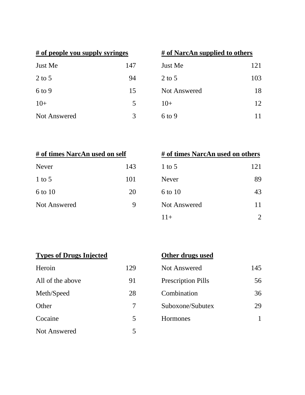| # of people you supply syringes |     | # of NarcAn supplied to oth |
|---------------------------------|-----|-----------------------------|
| Just Me                         | 147 | Just Me                     |
| $2$ to 5                        | 94  | $2$ to 5                    |
| $6$ to 9                        | 15  | <b>Not Answered</b>         |
| $10+$                           | 5   | $10+$                       |
| Not Answered                    | 3   | 6 to 9                      |

| # of people you supply syringes |     | # of NarcAn supplied to others |     |
|---------------------------------|-----|--------------------------------|-----|
| Just Me                         | 147 | Just Me                        | 121 |
| 2 to 5                          | 94  | 2 to 5                         | 103 |
| 6 to 9                          | 15  | Not Answered                   | 18  |
| $10+$                           | 5   | $10+$                          | 12  |
| <b>Not Answered</b>             | 3   | $6$ to 9                       |     |

| # of times NarcAn used on self |     |  |
|--------------------------------|-----|--|
| Never                          | 143 |  |
| $1$ to 5                       | 101 |  |
| 6 to 10                        | 20  |  |
| <b>Not Answered</b>            |     |  |
|                                |     |  |

| # of times NarcAn used on self |     | # of times NarcAn used on others |     |
|--------------------------------|-----|----------------------------------|-----|
| Never                          | 143 | 1 to 5                           | 121 |
| 1 to $5$                       | 101 | <b>Never</b>                     | 89  |
| 6 to 10                        | 20  | 6 to 10                          | 43  |
| <b>Not Answered</b>            | 9   | <b>Not Answered</b>              | 11  |
|                                |     | $11+$                            | 2   |

| <b>Types of Drugs Injected</b> | Other drugs used |  |
|--------------------------------|------------------|--|
|                                |                  |  |

|  | Other drugs used |  |
|--|------------------|--|
|  |                  |  |

| Heroin              | 179 |
|---------------------|-----|
| All of the above    | 91  |
| Meth/Speed          | 28  |
| Other               | 7   |
| Cocaine             | 5   |
| <b>Not Answered</b> | 5   |

| Heroin           | 129 | Not Answered              | 145 |
|------------------|-----|---------------------------|-----|
| All of the above | 91  | <b>Prescription Pills</b> | 56  |
| Meth/Speed       | 28  | Combination               | 36  |
| Other            | 7   | Suboxone/Subutex          | 29  |
| Cocaine          |     | Hormones                  |     |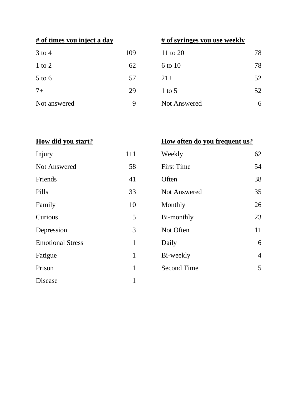| $3$ to 4     | 109 |
|--------------|-----|
| $1$ to $2$   | 62  |
| $5$ to 6     | 57  |
| $7+$         | 29  |
| Not answered |     |

## **# of times you inject a day # of syringes you use weekly**

| $3$ to $4$   | 109 | 11 to 20     | 78 |
|--------------|-----|--------------|----|
| $1$ to $2$   | 62  | 6 to 10      | 78 |
| $5$ to $6$   | 57  | $21+$        | 52 |
| $7+$         | 29  | 1 to 5       | 52 |
| Not answered | 9   | Not Answered | 6  |
|              |     |              |    |

**How did you start? How often do you frequent us?**

| Injury                  | 111          | Weekly             | 62             |
|-------------------------|--------------|--------------------|----------------|
| Not Answered            | 58           | <b>First Time</b>  | 54             |
| Friends                 | 41           | Often              | 38             |
| Pills                   | 33           | Not Answered       | 35             |
| Family                  | 10           | Monthly            | 26             |
| Curious                 | 5            | Bi-monthly         | 23             |
| Depression              | 3            | Not Often          | 11             |
| <b>Emotional Stress</b> | $\mathbf{1}$ | Daily              | 6              |
| Fatigue                 | 1            | Bi-weekly          | $\overline{4}$ |
| Prison                  | 1            | <b>Second Time</b> | 5              |
| Disease                 | 1            |                    |                |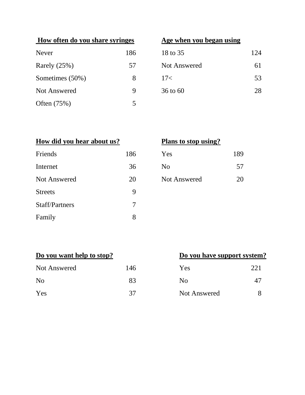| How often do you share syringes |     | Age when you began using |     |
|---------------------------------|-----|--------------------------|-----|
| <b>Never</b>                    | 186 | 18 to 35                 | 124 |
| Rarely $(25%)$                  | 57  | <b>Not Answered</b>      | 61  |
| Sometimes (50%)                 | 8   | 17<                      | 53  |
| <b>Not Answered</b>             | 9   | $36 \text{ to } 60$      | 28  |
| Often $(75%)$                   | 5   |                          |     |

## **Age when you began using**

| 18 to 35     | 124 |
|--------------|-----|
| Not Answered | 61  |
| 17<          | 53  |
| 36 to 60     | 28  |

| How did you hear about us? |     | Plans to stop using? |
|----------------------------|-----|----------------------|
| Friends                    | 186 | Yes                  |
| Internet                   | 36  | N <sub>0</sub>       |
| <b>Not Answered</b>        | 20  | <b>Not Answered</b>  |
| <b>Streets</b>             | 9   |                      |
| <b>Staff/Partners</b>      | 7   |                      |
| Family                     | 8   |                      |

|  | Plans to stop using? |
|--|----------------------|
|  |                      |

| 86 | Yes          | 189 |
|----|--------------|-----|
| 36 | No           | 57  |
| 20 | Not Answered | 20  |

| Do you want help to stop? |     | Do you have support system |      |
|---------------------------|-----|----------------------------|------|
| Not Answered              | 146 | Yes                        | 22.1 |
| N <sub>0</sub>            | 83  | N <sub>0</sub>             |      |
| Yes                       | 37  | Not Answered               |      |

# **Do you have support system?**

| Yes                 | 221 |
|---------------------|-----|
| N <sub>0</sub>      | 47  |
| <b>Not Answered</b> |     |